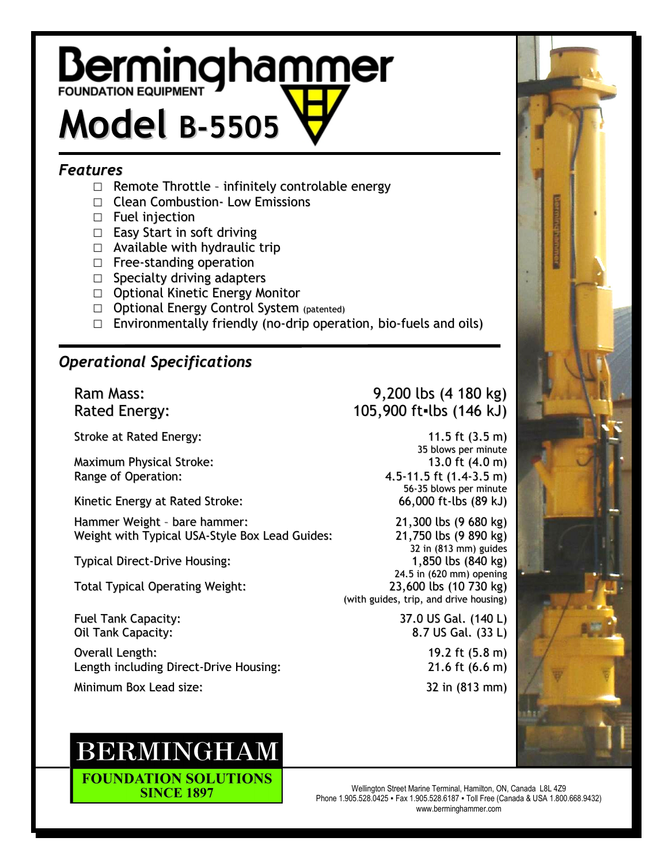## **Berminghammer Model B-5505**

## *Features*

- $\Box$  Remote Throttle infinitely controlable energy
- □ Clean Combustion Low Emissions
- □ Fuel injection
- □ Easy Start in soft driving
- $\Box$  Available with hydraulic trip
- □ Free-standing operation
- □ Specialty driving adapters
- □ Optional Kinetic Energy Monitor
- □ Optional Energy Control System (patented)
- $\square$  Environmentally friendly (no-drip operation, bio-fuels and oils)

## *Operational Specifications*

Stroke at Rated Energy: 11.5 ft (3.5 m)

Maximum Physical Stroke: 13.0 ft (4.0 m) Range of Operation: 4.5-11.5 ft (1.4-3.5 m)

Kinetic Energy at Rated Stroke: 66,000 ft-lbs (89 kJ)

Hammer Weight - bare hammer: 21,300 lbs (9 680 kg)<br>Weight with Typical USA-Style Box Lead Guides: 21,750 lbs (9 890 kg) Weight with Typical USA-Style Box Lead Guides:

Total Typical Operating Weight: 23,600 lbs (10 730 kg)

Overall Length: 19.2 ft (5.8 m) Length including Direct-Drive Housing: 21.6 ft (6.6 m)

Minimum Box Lead size: 32 in (813 mm)

## **BERMINGHAM**

**FOUNDATION SOLUTIONS SINCE 1897** 

Ram Mass: 9,200 lbs (4 180 kg) Rated Energy: 105,900 ft=lbs (146 kJ)

> 35 blows per minute 56-35 blows per minute

32 in (813 mm) guides Typical Direct-Drive Housing: 1,850 lbs (840 kg) 24.5 in (620 mm) opening (with guides, trip, and drive housing)

Fuel Tank Capacity: 37.0 US Gal. (140 L) Oil Tank Capacity: 8.7 US Gal. (33 L)



Wellington Street Marine Terminal, Hamilton, ON, Canada L8L 4Z9 Phone 1.905.528.0425 ▪ Fax 1.905.528.6187 ▪ Toll Free (Canada & USA 1.800.668.9432) www.berminghammer.com